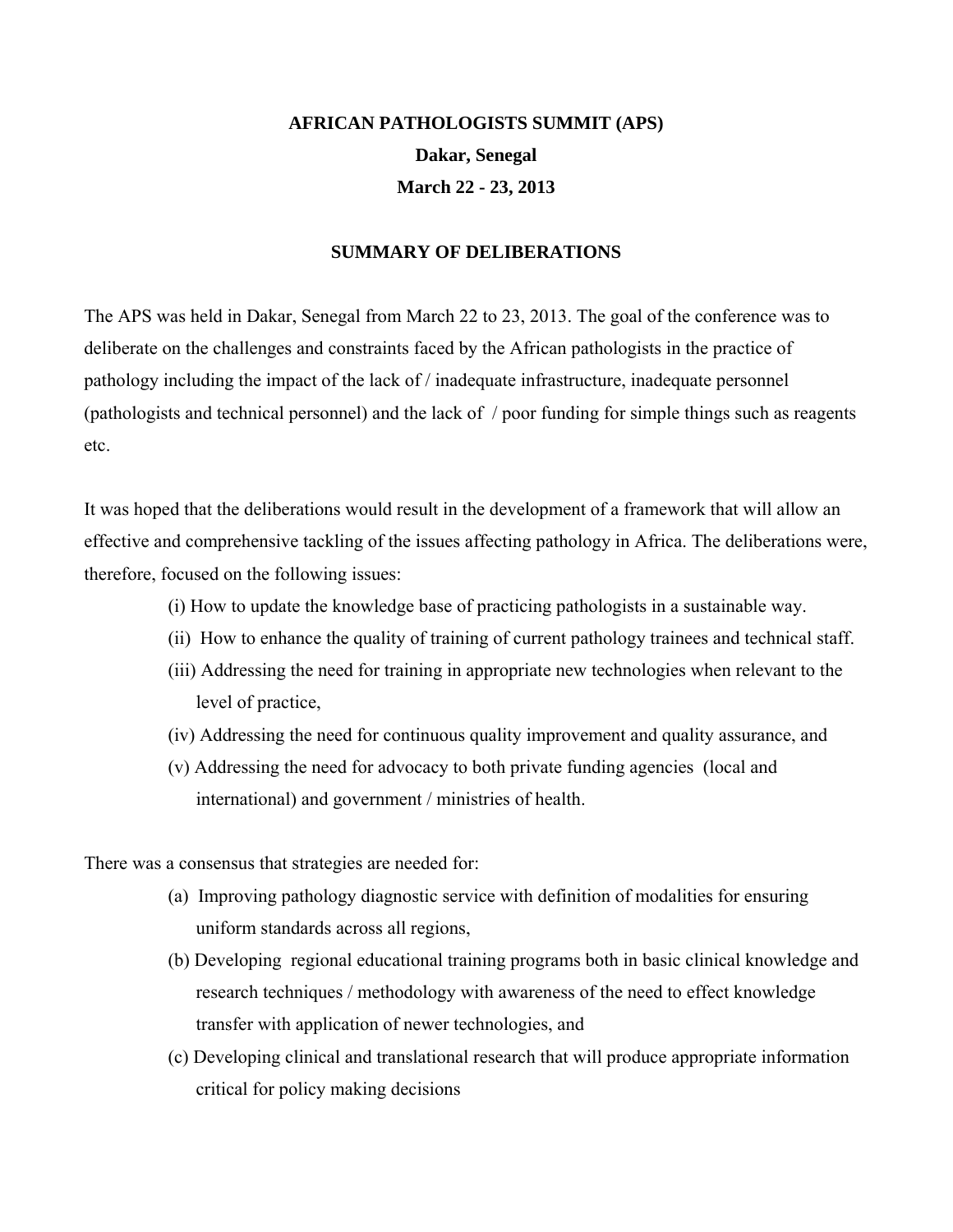## **AFRICAN PATHOLOGISTS SUMMIT (APS) Dakar, Senegal March 22 - 23, 2013**

#### **SUMMARY OF DELIBERATIONS**

The APS was held in Dakar, Senegal from March 22 to 23, 2013. The goal of the conference was to deliberate on the challenges and constraints faced by the African pathologists in the practice of pathology including the impact of the lack of / inadequate infrastructure, inadequate personnel (pathologists and technical personnel) and the lack of / poor funding for simple things such as reagents etc.

It was hoped that the deliberations would result in the development of a framework that will allow an effective and comprehensive tackling of the issues affecting pathology in Africa. The deliberations were, therefore, focused on the following issues:

- (i) How to update the knowledge base of practicing pathologists in a sustainable way.
- (ii) How to enhance the quality of training of current pathology trainees and technical staff.
- (iii) Addressing the need for training in appropriate new technologies when relevant to the level of practice,
- (iv) Addressing the need for continuous quality improvement and quality assurance, and
- (v) Addressing the need for advocacy to both private funding agencies (local and international) and government / ministries of health.

There was a consensus that strategies are needed for:

- (a) Improving pathology diagnostic service with definition of modalities for ensuring uniform standards across all regions,
- (b) Developing regional educational training programs both in basic clinical knowledge and research techniques / methodology with awareness of the need to effect knowledge transfer with application of newer technologies, and
- (c) Developing clinical and translational research that will produce appropriate information critical for policy making decisions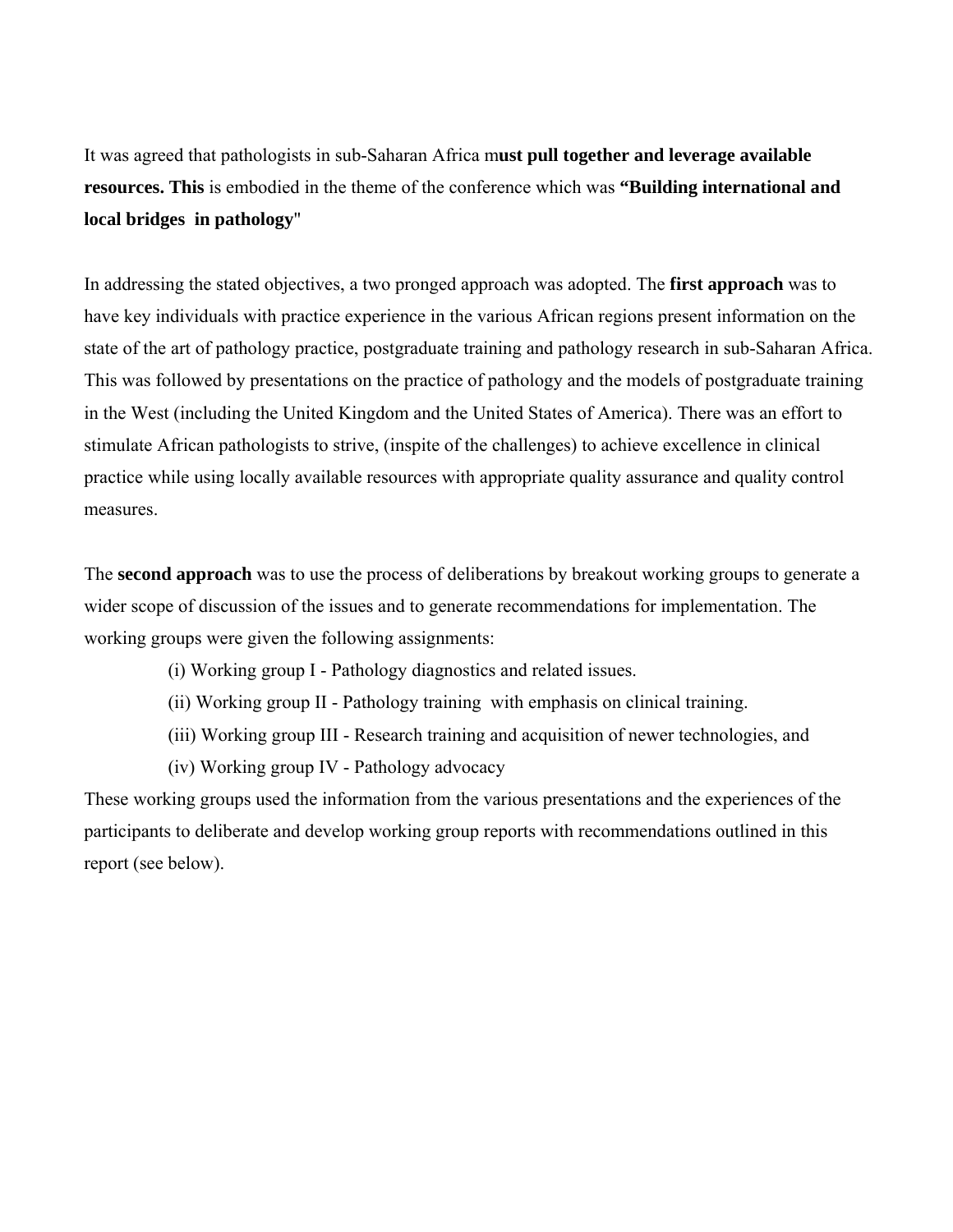It was agreed that pathologists in sub-Saharan Africa m**ust pull together and leverage available resources. This** is embodied in the theme of the conference which was **"Building international and local bridges in pathology**"

In addressing the stated objectives, a two pronged approach was adopted. The **first approach** was to have key individuals with practice experience in the various African regions present information on the state of the art of pathology practice, postgraduate training and pathology research in sub-Saharan Africa. This was followed by presentations on the practice of pathology and the models of postgraduate training in the West (including the United Kingdom and the United States of America). There was an effort to stimulate African pathologists to strive, (inspite of the challenges) to achieve excellence in clinical practice while using locally available resources with appropriate quality assurance and quality control measures.

The **second approach** was to use the process of deliberations by breakout working groups to generate a wider scope of discussion of the issues and to generate recommendations for implementation. The working groups were given the following assignments:

- (i) Working group I Pathology diagnostics and related issues.
- (ii) Working group II Pathology training with emphasis on clinical training.
- (iii) Working group III Research training and acquisition of newer technologies, and
- (iv) Working group IV Pathology advocacy

These working groups used the information from the various presentations and the experiences of the participants to deliberate and develop working group reports with recommendations outlined in this report (see below).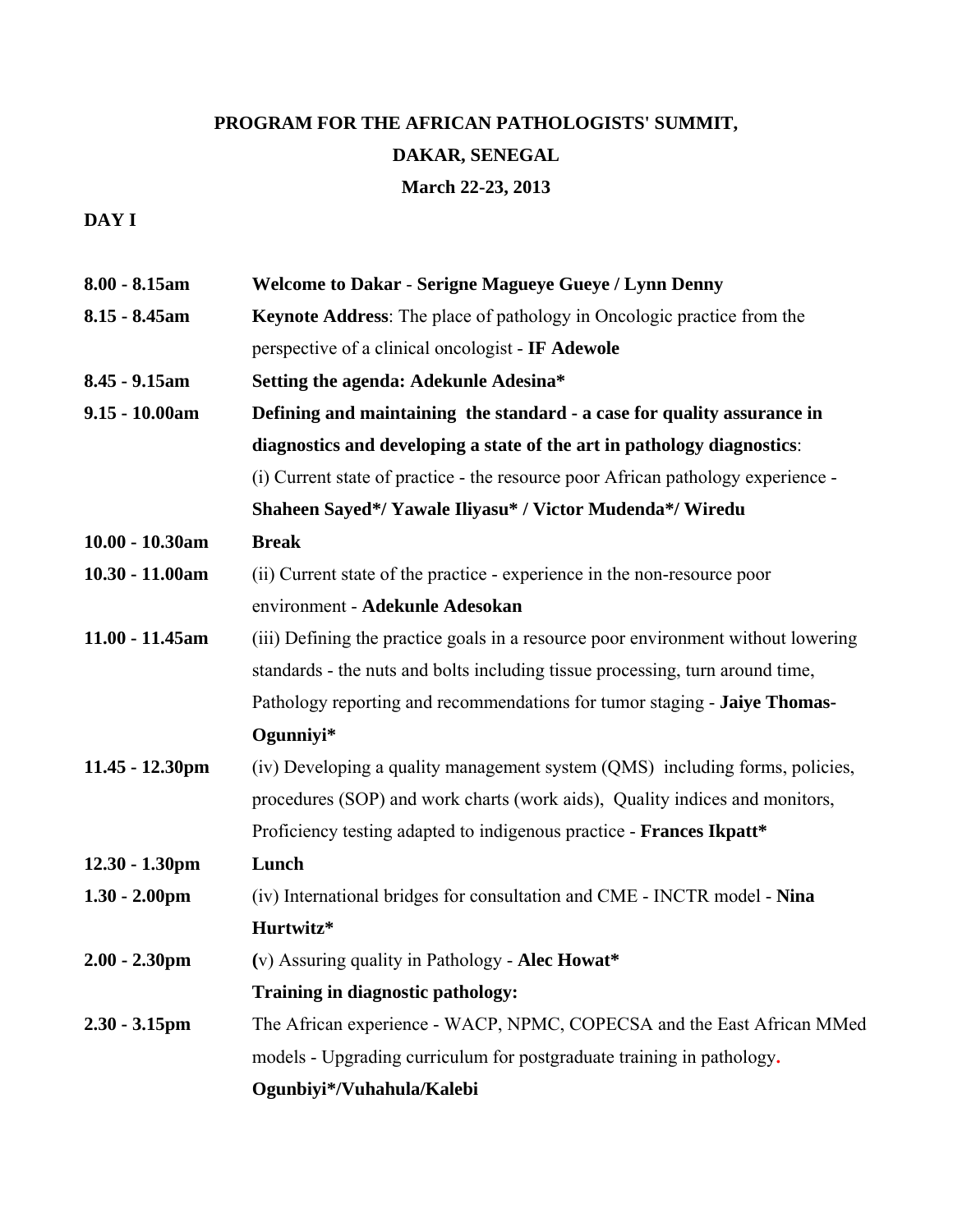# **PROGRAM FOR THE AFRICAN PATHOLOGISTS' SUMMIT, DAKAR, SENEGAL March 22-23, 2013**

## **DAY I**

| $8.00 - 8.15$ am   | <b>Welcome to Dakar - Serigne Magueye Gueye / Lynn Denny</b>                      |
|--------------------|-----------------------------------------------------------------------------------|
| $8.15 - 8.45$ am   | <b>Keynote Address:</b> The place of pathology in Oncologic practice from the     |
|                    | perspective of a clinical oncologist - IF Adewole                                 |
| 8.45 - 9.15am      | Setting the agenda: Adekunle Adesina*                                             |
| $9.15 - 10.00am$   | Defining and maintaining the standard - a case for quality assurance in           |
|                    | diagnostics and developing a state of the art in pathology diagnostics:           |
|                    | (i) Current state of practice - the resource poor African pathology experience -  |
|                    | Shaheen Sayed*/ Yawale Iliyasu* / Victor Mudenda*/ Wiredu                         |
| $10.00 - 10.30$ am | <b>Break</b>                                                                      |
| 10.30 - 11.00am    | (ii) Current state of the practice - experience in the non-resource poor          |
|                    | environment - Adekunle Adesokan                                                   |
| 11.00 - 11.45am    | (iii) Defining the practice goals in a resource poor environment without lowering |
|                    | standards - the nuts and bolts including tissue processing, turn around time,     |
|                    | Pathology reporting and recommendations for tumor staging - Jaiye Thomas-         |
|                    | Ogunniyi*                                                                         |
| $11.45 - 12.30$ pm | (iv) Developing a quality management system (QMS) including forms, policies,      |
|                    | procedures (SOP) and work charts (work aids), Quality indices and monitors,       |
|                    | Proficiency testing adapted to indigenous practice - Frances Ikpatt*              |
| $12.30 - 1.30$ pm  | Lunch                                                                             |
| $1.30 - 2.00$ pm   | (iv) International bridges for consultation and CME - INCTR model - Nina          |
|                    | Hurtwitz*                                                                         |
| $2.00 - 2.30$ pm   | (v) Assuring quality in Pathology - Alec Howat*                                   |
|                    | Training in diagnostic pathology:                                                 |
| $2.30 - 3.15$ pm   | The African experience - WACP, NPMC, COPECSA and the East African MMed            |
|                    | models - Upgrading curriculum for postgraduate training in pathology.             |
|                    | Ogunbiyi*/Vuhahula/Kalebi                                                         |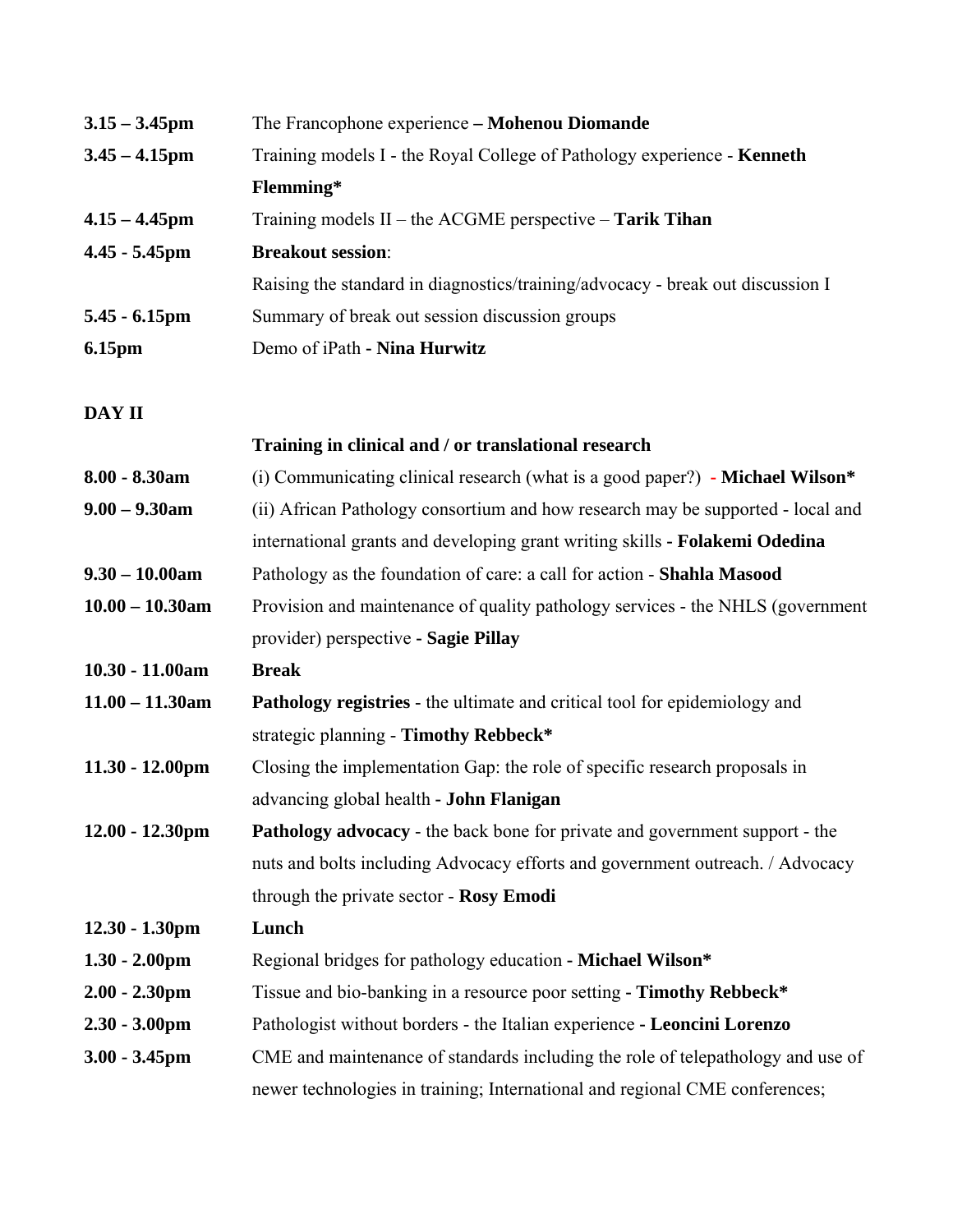| $3.15 - 3.45$ pm         | The Francophone experience - Mohenou Diomande                                   |  |
|--------------------------|---------------------------------------------------------------------------------|--|
| $3.45 - 4.15$ pm         | Training models I - the Royal College of Pathology experience - Kenneth         |  |
|                          | Flemming*                                                                       |  |
| $4.15 - 4.45$ pm         | Training models $II$ – the ACGME perspective – Tarik Tihan                      |  |
| $4.45 - 5.45$ pm         | <b>Breakout session:</b>                                                        |  |
|                          | Raising the standard in diagnostics/training/advocacy - break out discussion I  |  |
| $5.45 - 6.15$ pm         | Summary of break out session discussion groups                                  |  |
| 6.15pm                   | Demo of iPath - Nina Hurwitz                                                    |  |
| DAY II                   |                                                                                 |  |
|                          | Training in clinical and / or translational research                            |  |
| 8.00 - 8.30am            | (i) Communicating clinical research (what is a good paper?) - Michael Wilson*   |  |
| $9.00 - 9.30$ am         | (ii) African Pathology consortium and how research may be supported - local and |  |
|                          | international grants and developing grant writing skills - Folakemi Odedina     |  |
| $9.30 - 10.00$ am        | Pathology as the foundation of care: a call for action - Shahla Masood          |  |
| $10.00 - 10.30$ am       | Provision and maintenance of quality pathology services - the NHLS (government  |  |
|                          | provider) perspective - Sagie Pillay                                            |  |
| $10.30 - 11.00$ am       | <b>Break</b>                                                                    |  |
| $11.00 - 11.30$ am       | Pathology registries - the ultimate and critical tool for epidemiology and      |  |
|                          | strategic planning - Timothy Rebbeck*                                           |  |
| $11.30 - 12.00$ pm       | Closing the implementation Gap: the role of specific research proposals in      |  |
|                          | advancing global health - John Flanigan                                         |  |
| $12.00 - 12.30$ pm       | Pathology advocacy - the back bone for private and government support - the     |  |
|                          | nuts and bolts including Advocacy efforts and government outreach. / Advocacy   |  |
|                          | through the private sector - Rosy Emodi                                         |  |
| $12.30 - 1.30 \text{pm}$ | Lunch                                                                           |  |
| $1.30 - 2.00$ pm         | Regional bridges for pathology education - Michael Wilson*                      |  |
| $2.00 - 2.30$ pm         | Tissue and bio-banking in a resource poor setting - Timothy Rebbeck*            |  |
| $2.30 - 3.00$ pm         | Pathologist without borders - the Italian experience - Leoncini Lorenzo         |  |
| $3.00 - 3.45$ pm         | CME and maintenance of standards including the role of telepathology and use of |  |
|                          | newer technologies in training; International and regional CME conferences;     |  |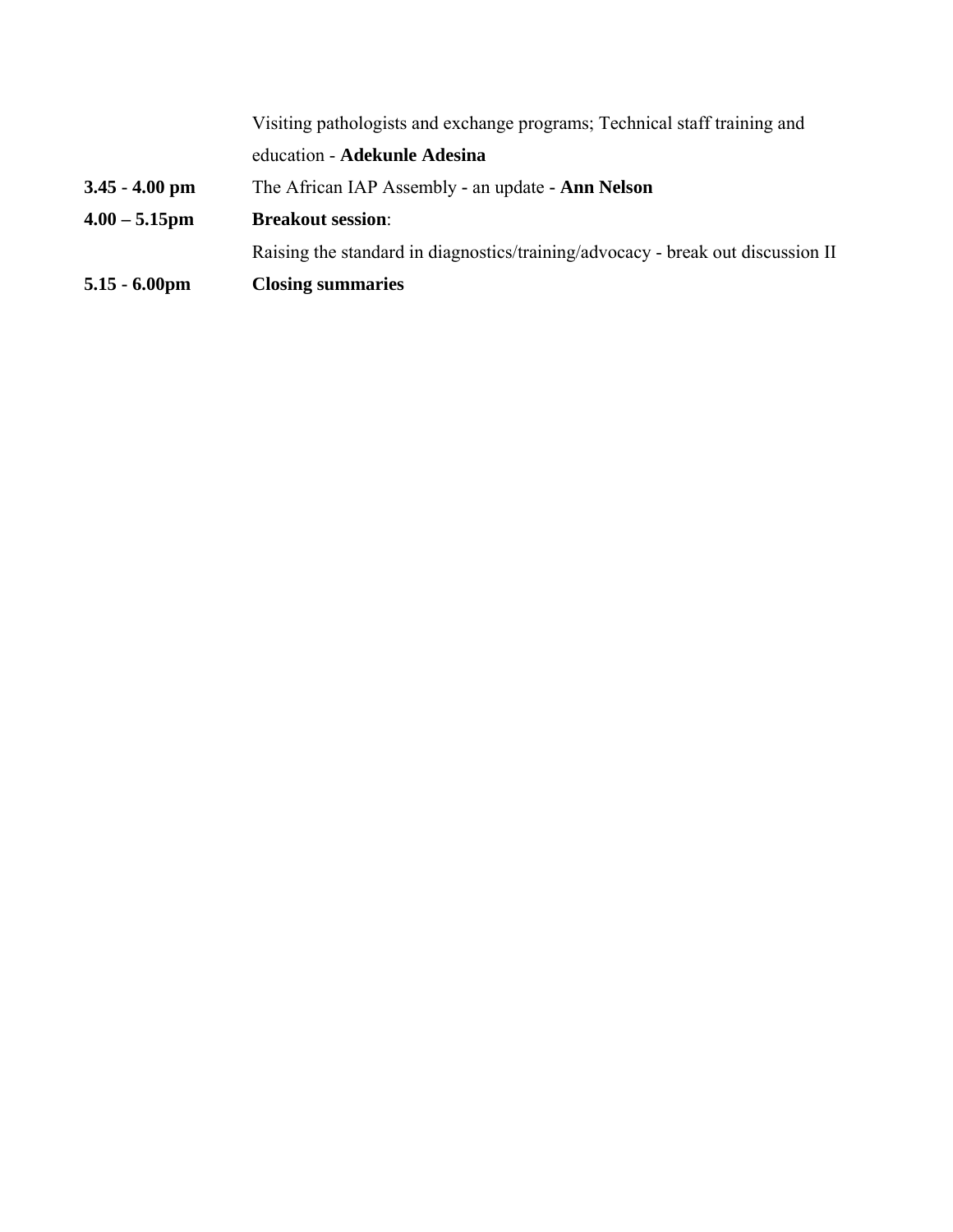| $5.15 - 6.00$ pm | <b>Closing summaries</b>                                                        |
|------------------|---------------------------------------------------------------------------------|
|                  | Raising the standard in diagnostics/training/advocacy - break out discussion II |
| $4.00 - 5.15$ pm | <b>Breakout session:</b>                                                        |
| $3.45 - 4.00$ pm | The African IAP Assembly - an update - <b>Ann Nelson</b>                        |
|                  | education - Adekunle Adesina                                                    |
|                  | Visiting pathologists and exchange programs; Technical staff training and       |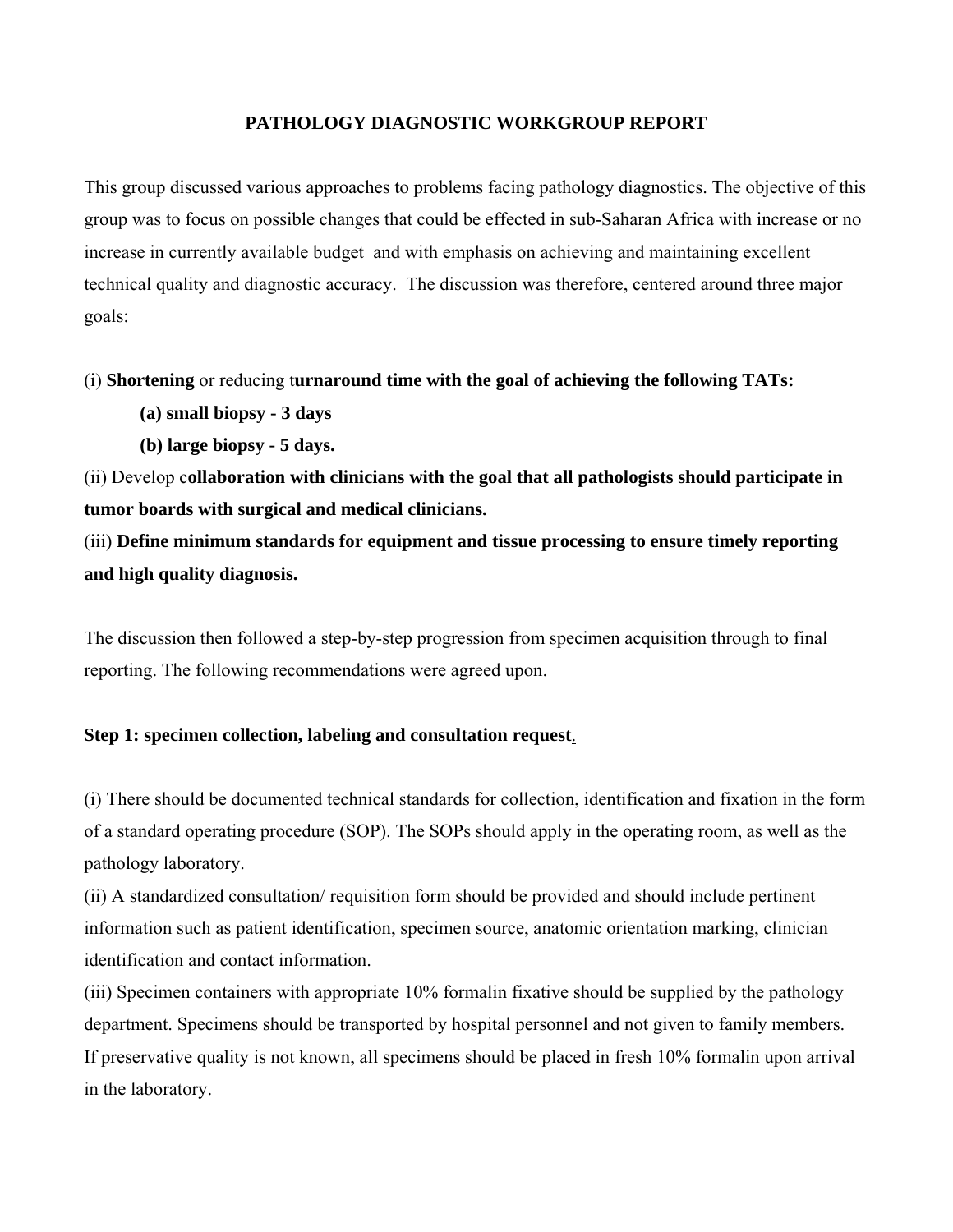#### **PATHOLOGY DIAGNOSTIC WORKGROUP REPORT**

This group discussed various approaches to problems facing pathology diagnostics. The objective of this group was to focus on possible changes that could be effected in sub-Saharan Africa with increase or no increase in currently available budget and with emphasis on achieving and maintaining excellent technical quality and diagnostic accuracy. The discussion was therefore, centered around three major goals:

(i) **Shortening** or reducing t**urnaround time with the goal of achieving the following TATs:** 

 **(a) small biopsy - 3 days** 

 **(b) large biopsy - 5 days.**

(ii) Develop c**ollaboration with clinicians with the goal that all pathologists should participate in tumor boards with surgical and medical clinicians.**

(iii) **Define minimum standards for equipment and tissue processing to ensure timely reporting and high quality diagnosis.**

The discussion then followed a step-by-step progression from specimen acquisition through to final reporting. The following recommendations were agreed upon.

#### **Step 1: specimen collection, labeling and consultation request**.

(i) There should be documented technical standards for collection, identification and fixation in the form of a standard operating procedure (SOP). The SOPs should apply in the operating room, as well as the pathology laboratory.

(ii) A standardized consultation/ requisition form should be provided and should include pertinent information such as patient identification, specimen source, anatomic orientation marking, clinician identification and contact information.

(iii) Specimen containers with appropriate 10% formalin fixative should be supplied by the pathology department. Specimens should be transported by hospital personnel and not given to family members. If preservative quality is not known, all specimens should be placed in fresh 10% formalin upon arrival in the laboratory.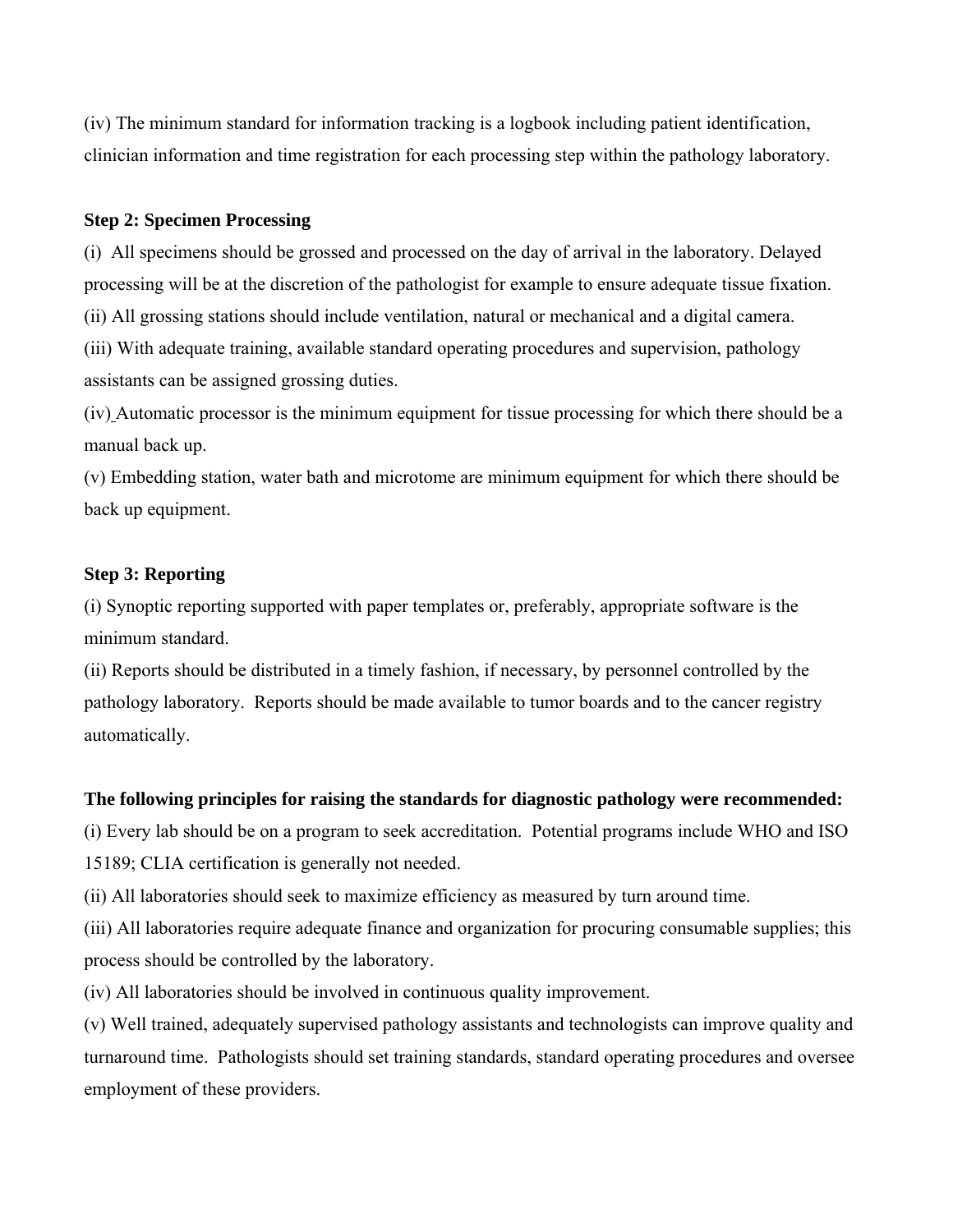(iv) The minimum standard for information tracking is a logbook including patient identification, clinician information and time registration for each processing step within the pathology laboratory.

#### **Step 2: Specimen Processing**

(i) All specimens should be grossed and processed on the day of arrival in the laboratory. Delayed processing will be at the discretion of the pathologist for example to ensure adequate tissue fixation.

(ii) All grossing stations should include ventilation, natural or mechanical and a digital camera.

(iii) With adequate training, available standard operating procedures and supervision, pathology assistants can be assigned grossing duties.

(iv) Automatic processor is the minimum equipment for tissue processing for which there should be a manual back up.

(v) Embedding station, water bath and microtome are minimum equipment for which there should be back up equipment.

#### **Step 3: Reporting**

(i) Synoptic reporting supported with paper templates or, preferably, appropriate software is the minimum standard.

(ii) Reports should be distributed in a timely fashion, if necessary, by personnel controlled by the pathology laboratory. Reports should be made available to tumor boards and to the cancer registry automatically.

#### **The following principles for raising the standards for diagnostic pathology were recommended:**

(i) Every lab should be on a program to seek accreditation. Potential programs include WHO and ISO 15189; CLIA certification is generally not needed.

(ii) All laboratories should seek to maximize efficiency as measured by turn around time.

(iii) All laboratories require adequate finance and organization for procuring consumable supplies; this process should be controlled by the laboratory.

(iv) All laboratories should be involved in continuous quality improvement.

(v) Well trained, adequately supervised pathology assistants and technologists can improve quality and turnaround time. Pathologists should set training standards, standard operating procedures and oversee employment of these providers.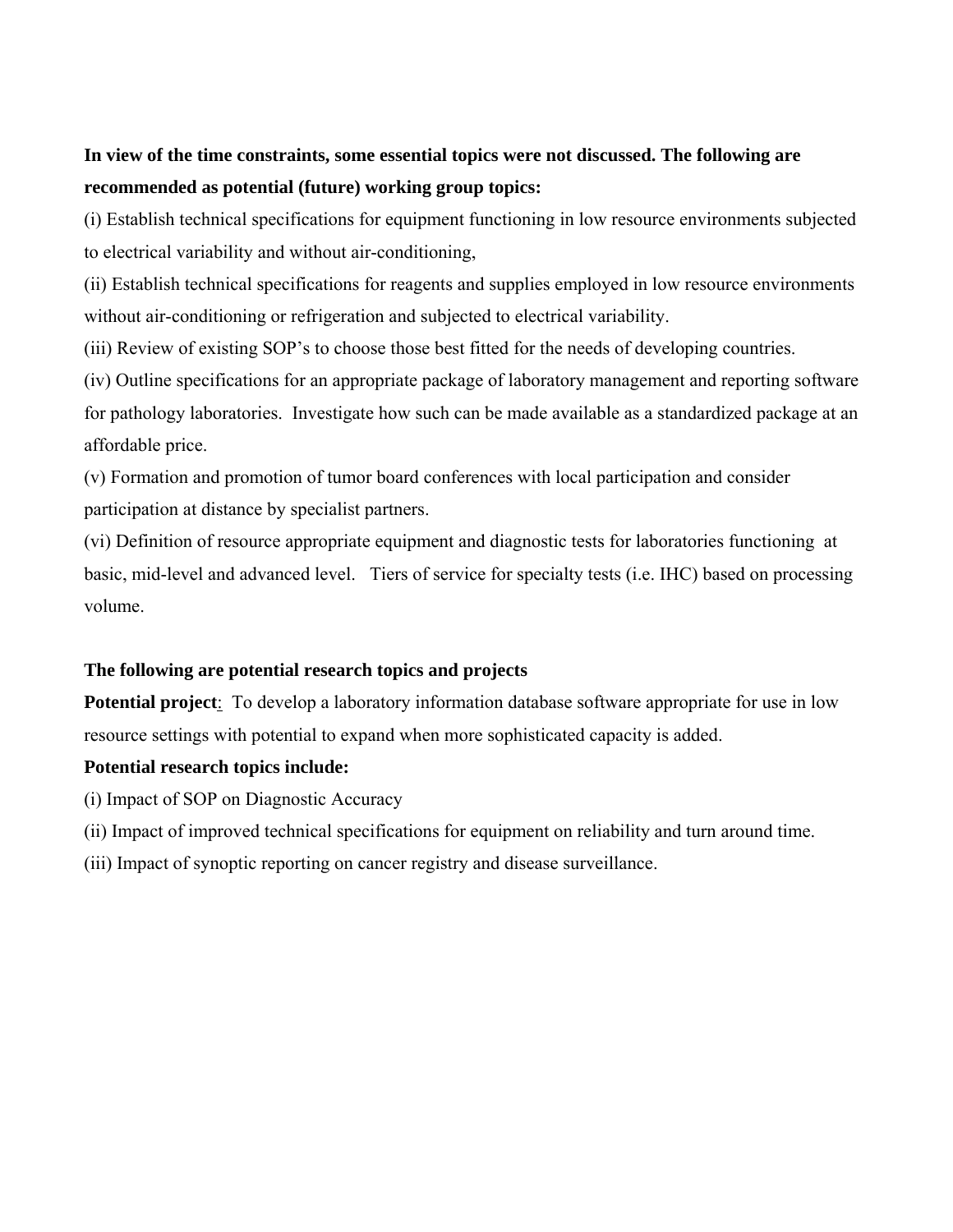## **In view of the time constraints, some essential topics were not discussed. The following are recommended as potential (future) working group topics:**

(i) Establish technical specifications for equipment functioning in low resource environments subjected to electrical variability and without air-conditioning,

(ii) Establish technical specifications for reagents and supplies employed in low resource environments without air-conditioning or refrigeration and subjected to electrical variability.

(iii) Review of existing SOP's to choose those best fitted for the needs of developing countries.

(iv) Outline specifications for an appropriate package of laboratory management and reporting software for pathology laboratories. Investigate how such can be made available as a standardized package at an affordable price.

(v) Formation and promotion of tumor board conferences with local participation and consider participation at distance by specialist partners.

(vi) Definition of resource appropriate equipment and diagnostic tests for laboratories functioning at basic, mid-level and advanced level. Tiers of service for specialty tests (i.e. IHC) based on processing volume.

### **The following are potential research topics and projects**

**Potential project**: To develop a laboratory information database software appropriate for use in low resource settings with potential to expand when more sophisticated capacity is added.

### **Potential research topics include:**

- (i) Impact of SOP on Diagnostic Accuracy
- (ii) Impact of improved technical specifications for equipment on reliability and turn around time.
- (iii) Impact of synoptic reporting on cancer registry and disease surveillance.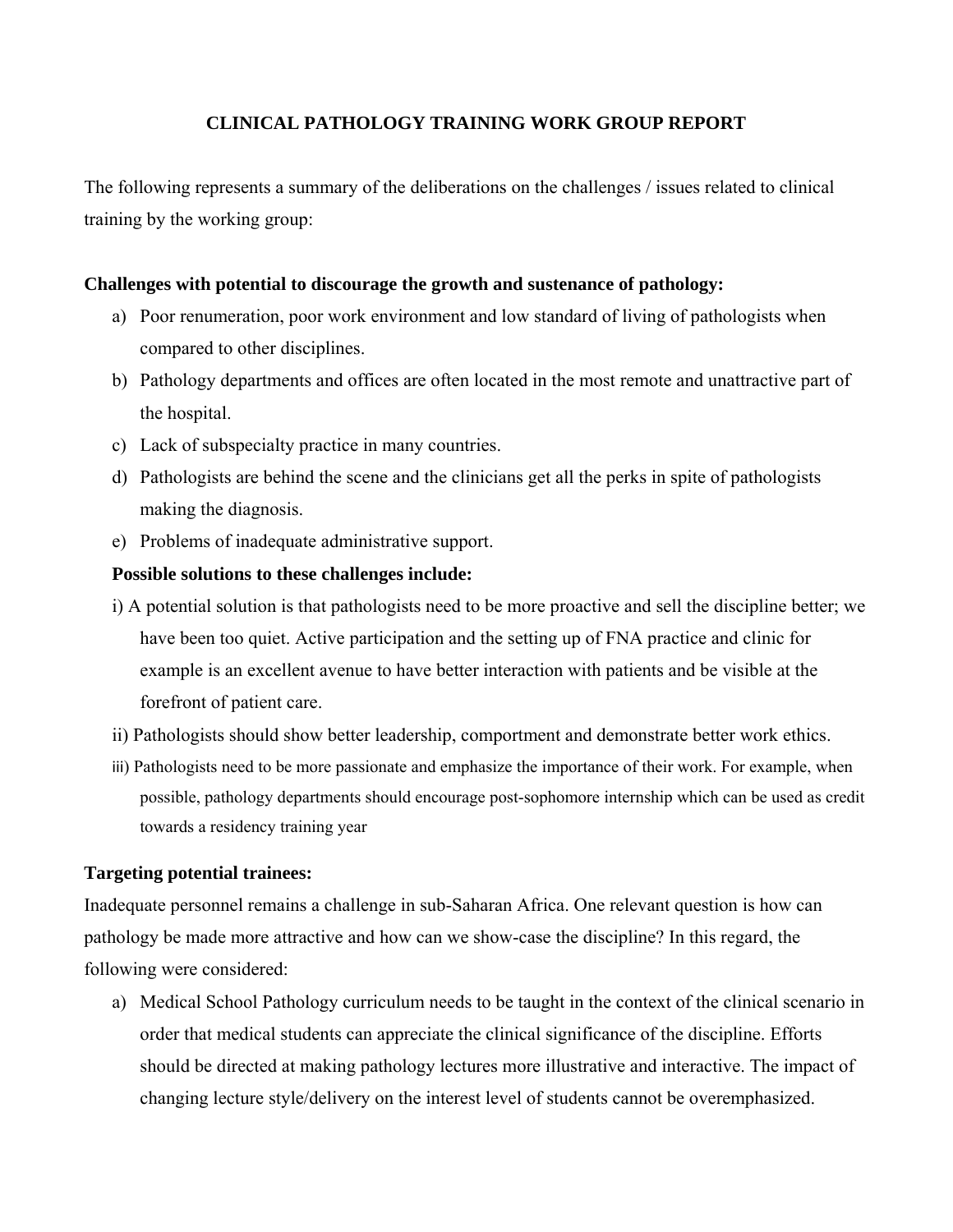### **CLINICAL PATHOLOGY TRAINING WORK GROUP REPORT**

The following represents a summary of the deliberations on the challenges / issues related to clinical training by the working group:

### **Challenges with potential to discourage the growth and sustenance of pathology:**

- a) Poor renumeration, poor work environment and low standard of living of pathologists when compared to other disciplines.
- b) Pathology departments and offices are often located in the most remote and unattractive part of the hospital.
- c) Lack of subspecialty practice in many countries.
- d) Pathologists are behind the scene and the clinicians get all the perks in spite of pathologists making the diagnosis.
- e) Problems of inadequate administrative support.

#### **Possible solutions to these challenges include:**

- i) A potential solution is that pathologists need to be more proactive and sell the discipline better; we have been too quiet. Active participation and the setting up of FNA practice and clinic for example is an excellent avenue to have better interaction with patients and be visible at the forefront of patient care.
- ii) Pathologists should show better leadership, comportment and demonstrate better work ethics.
- iii) Pathologists need to be more passionate and emphasize the importance of their work. For example, when possible, pathology departments should encourage post-sophomore internship which can be used as credit towards a residency training year

#### **Targeting potential trainees:**

Inadequate personnel remains a challenge in sub-Saharan Africa. One relevant question is how can pathology be made more attractive and how can we show-case the discipline? In this regard, the following were considered:

a) Medical School Pathology curriculum needs to be taught in the context of the clinical scenario in order that medical students can appreciate the clinical significance of the discipline. Efforts should be directed at making pathology lectures more illustrative and interactive. The impact of changing lecture style/delivery on the interest level of students cannot be overemphasized.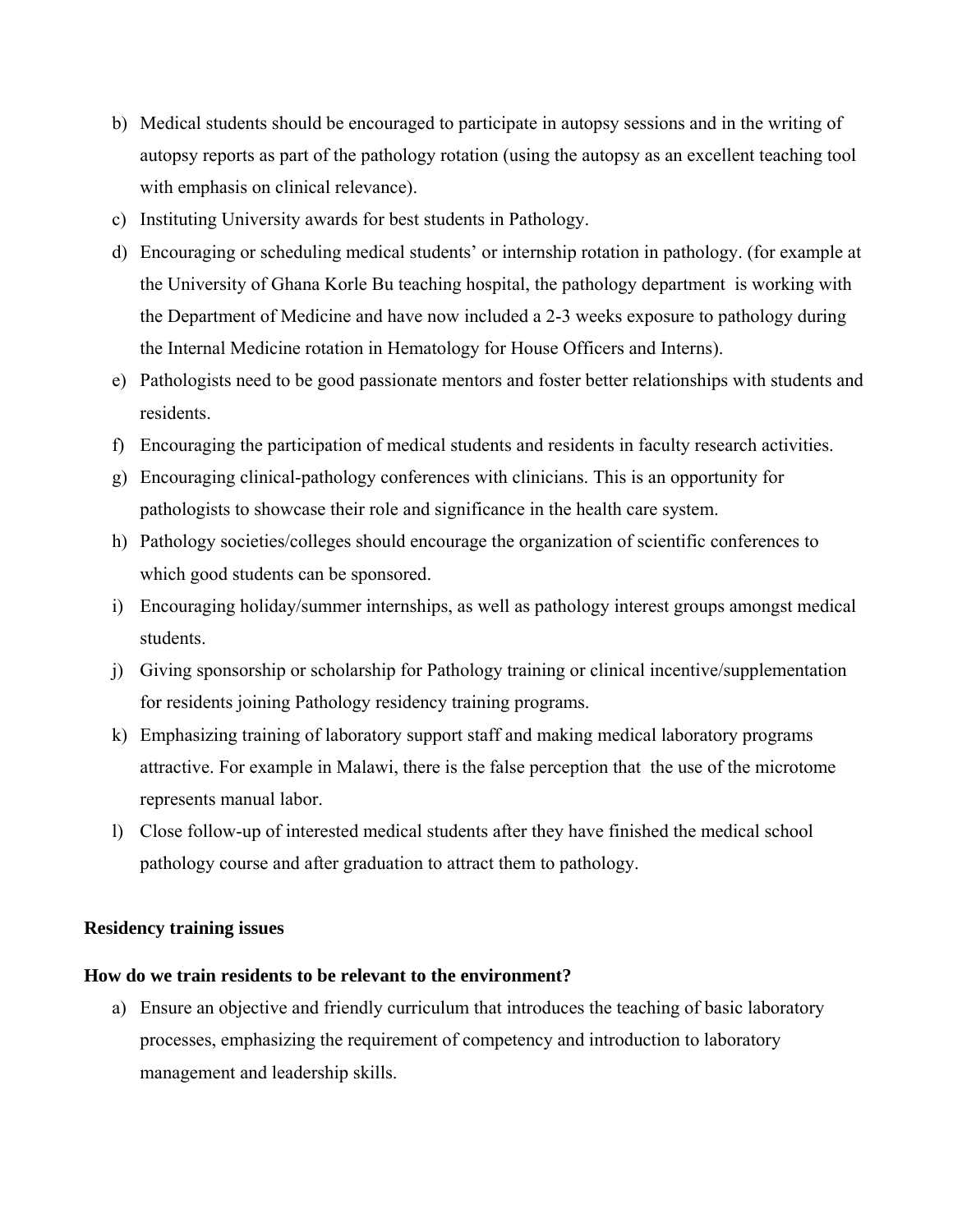- b) Medical students should be encouraged to participate in autopsy sessions and in the writing of autopsy reports as part of the pathology rotation (using the autopsy as an excellent teaching tool with emphasis on clinical relevance).
- c) Instituting University awards for best students in Pathology.
- d) Encouraging or scheduling medical students' or internship rotation in pathology. (for example at the University of Ghana Korle Bu teaching hospital, the pathology department is working with the Department of Medicine and have now included a 2-3 weeks exposure to pathology during the Internal Medicine rotation in Hematology for House Officers and Interns).
- e) Pathologists need to be good passionate mentors and foster better relationships with students and residents.
- f) Encouraging the participation of medical students and residents in faculty research activities.
- g) Encouraging clinical-pathology conferences with clinicians. This is an opportunity for pathologists to showcase their role and significance in the health care system.
- h) Pathology societies/colleges should encourage the organization of scientific conferences to which good students can be sponsored.
- i) Encouraging holiday/summer internships, as well as pathology interest groups amongst medical students.
- j) Giving sponsorship or scholarship for Pathology training or clinical incentive/supplementation for residents joining Pathology residency training programs.
- k) Emphasizing training of laboratory support staff and making medical laboratory programs attractive. For example in Malawi, there is the false perception that the use of the microtome represents manual labor.
- l) Close follow-up of interested medical students after they have finished the medical school pathology course and after graduation to attract them to pathology.

#### **Residency training issues**

#### **How do we train residents to be relevant to the environment?**

a) Ensure an objective and friendly curriculum that introduces the teaching of basic laboratory processes, emphasizing the requirement of competency and introduction to laboratory management and leadership skills.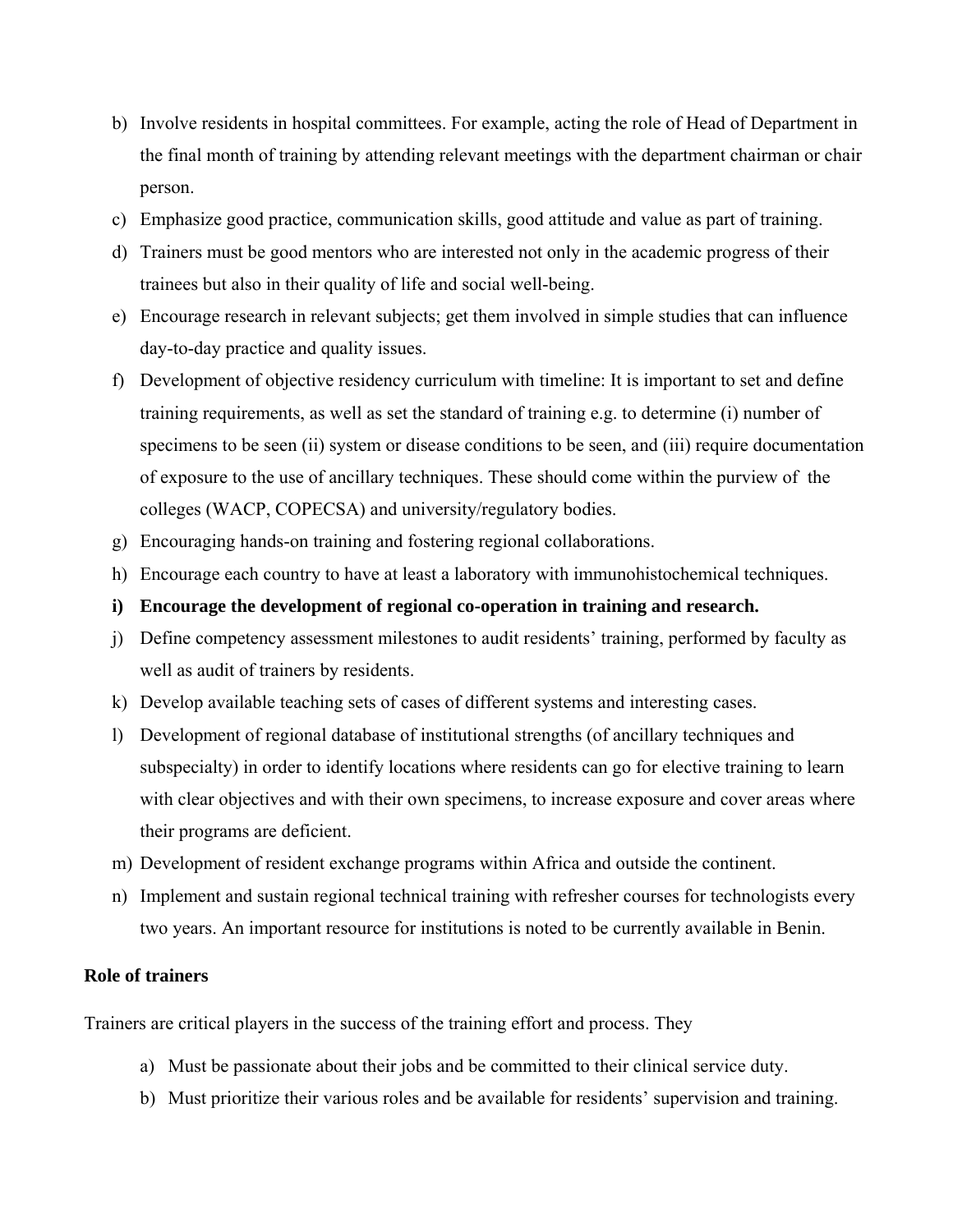- b) Involve residents in hospital committees. For example, acting the role of Head of Department in the final month of training by attending relevant meetings with the department chairman or chair person.
- c) Emphasize good practice, communication skills, good attitude and value as part of training.
- d) Trainers must be good mentors who are interested not only in the academic progress of their trainees but also in their quality of life and social well-being.
- e) Encourage research in relevant subjects; get them involved in simple studies that can influence day-to-day practice and quality issues.
- f) Development of objective residency curriculum with timeline: It is important to set and define training requirements, as well as set the standard of training e.g. to determine (i) number of specimens to be seen (ii) system or disease conditions to be seen, and (iii) require documentation of exposure to the use of ancillary techniques. These should come within the purview of the colleges (WACP, COPECSA) and university/regulatory bodies.
- g) Encouraging hands-on training and fostering regional collaborations.
- h) Encourage each country to have at least a laboratory with immunohistochemical techniques.
- **i) Encourage the development of regional co-operation in training and research.**
- j) Define competency assessment milestones to audit residents' training, performed by faculty as well as audit of trainers by residents.
- k) Develop available teaching sets of cases of different systems and interesting cases.
- l) Development of regional database of institutional strengths (of ancillary techniques and subspecialty) in order to identify locations where residents can go for elective training to learn with clear objectives and with their own specimens, to increase exposure and cover areas where their programs are deficient.
- m) Development of resident exchange programs within Africa and outside the continent.
- n) Implement and sustain regional technical training with refresher courses for technologists every two years. An important resource for institutions is noted to be currently available in Benin.

#### **Role of trainers**

Trainers are critical players in the success of the training effort and process. They

- a) Must be passionate about their jobs and be committed to their clinical service duty.
- b) Must prioritize their various roles and be available for residents' supervision and training.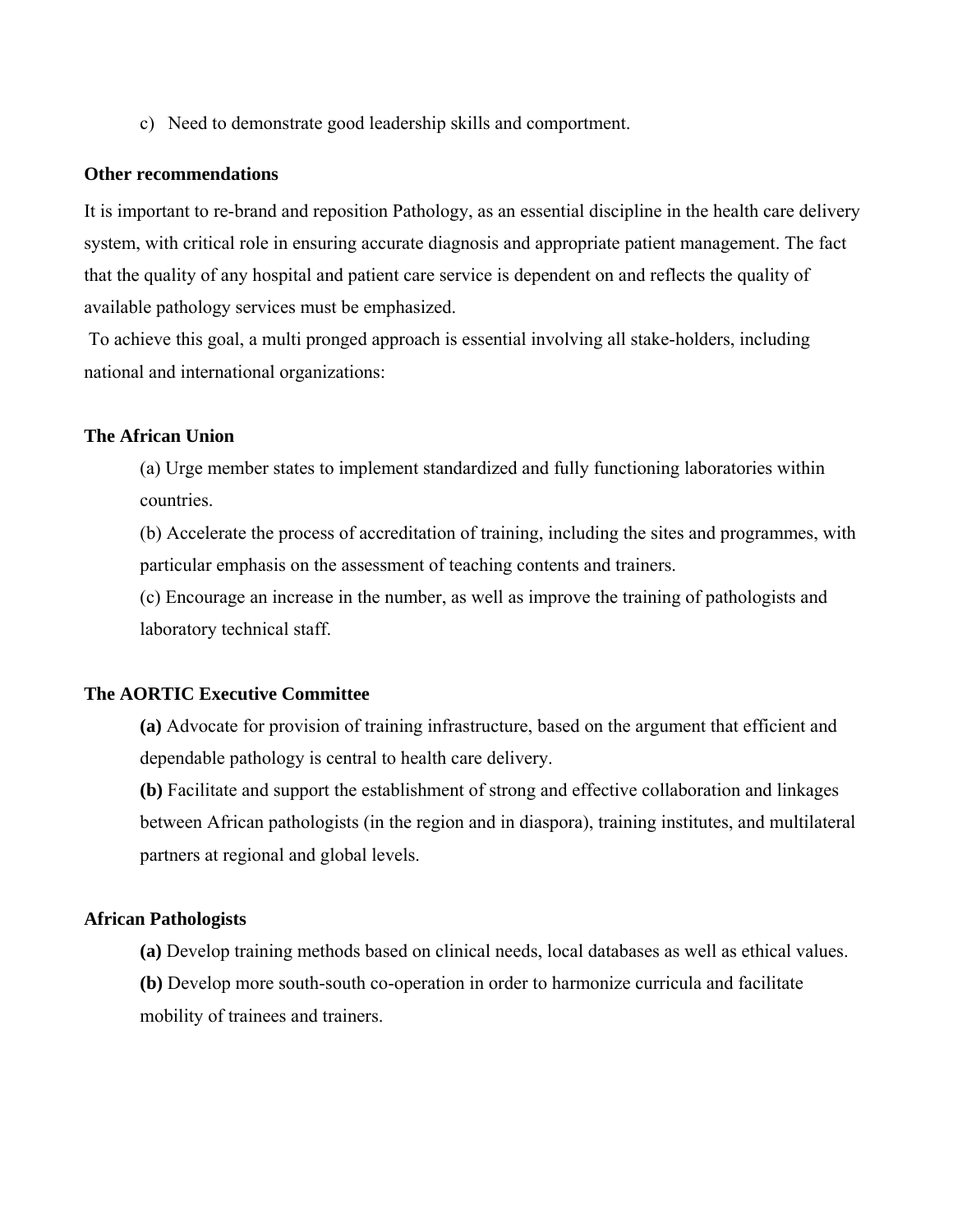c) Need to demonstrate good leadership skills and comportment.

#### **Other recommendations**

It is important to re-brand and reposition Pathology, as an essential discipline in the health care delivery system, with critical role in ensuring accurate diagnosis and appropriate patient management. The fact that the quality of any hospital and patient care service is dependent on and reflects the quality of available pathology services must be emphasized.

 To achieve this goal, a multi pronged approach is essential involving all stake-holders, including national and international organizations:

#### **The African Union**

 (a) Urge member states to implement standardized and fully functioning laboratories within countries.

 (b) Accelerate the process of accreditation of training, including the sites and programmes, with particular emphasis on the assessment of teaching contents and trainers.

 (c) Encourage an increase in the number, as well as improve the training of pathologists and laboratory technical staff.

#### **The AORTIC Executive Committee**

 **(a)** Advocate for provision of training infrastructure, based on the argument that efficient and dependable pathology is central to health care delivery.

 **(b)** Facilitate and support the establishment of strong and effective collaboration and linkages between African pathologists (in the region and in diaspora), training institutes, and multilateral partners at regional and global levels.

#### **African Pathologists**

 **(a)** Develop training methods based on clinical needs, local databases as well as ethical values.  **(b)** Develop more south-south co-operation in order to harmonize curricula and facilitate mobility of trainees and trainers.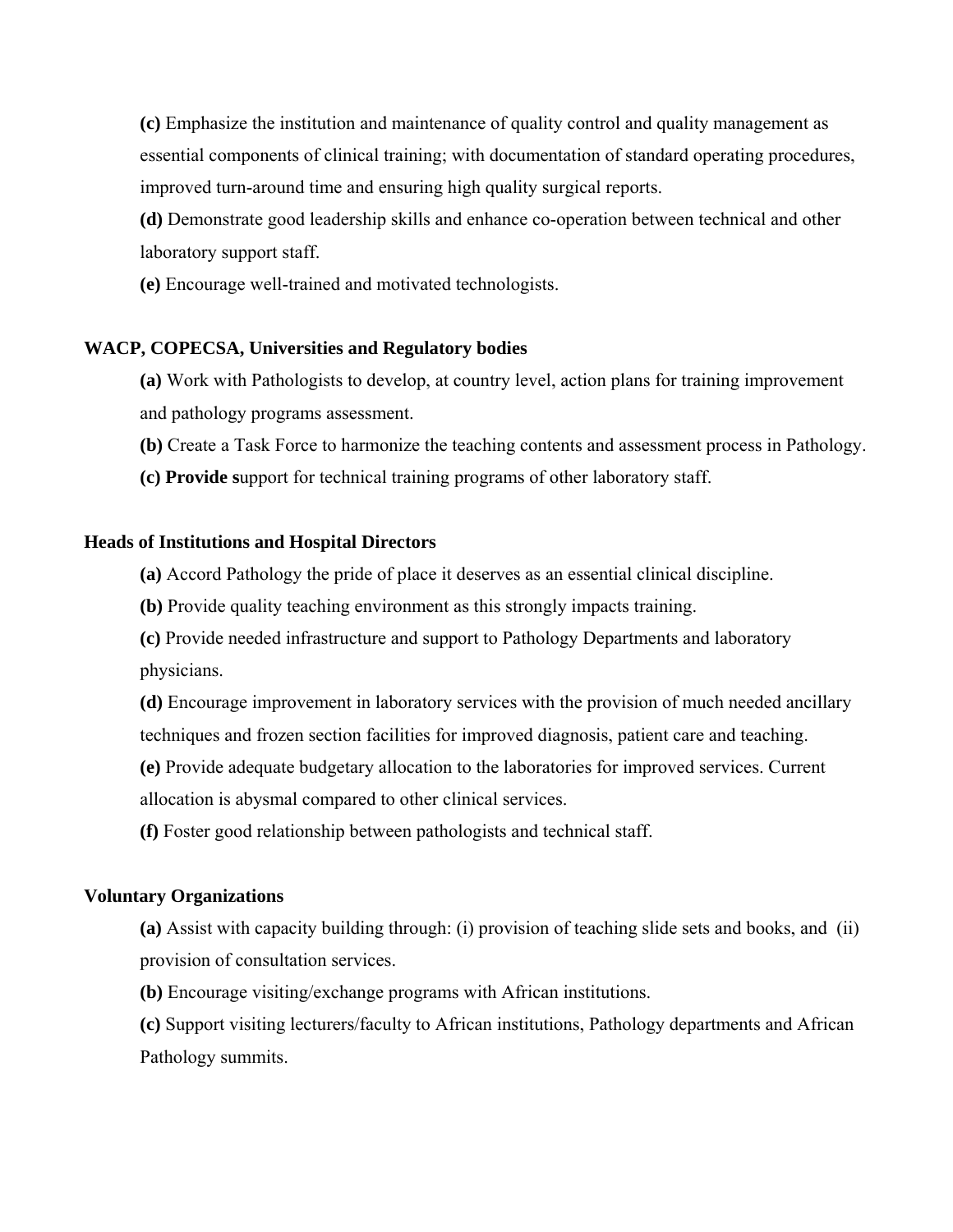**(c)** Emphasize the institution and maintenance of quality control and quality management as essential components of clinical training; with documentation of standard operating procedures, improved turn-around time and ensuring high quality surgical reports.

 **(d)** Demonstrate good leadership skills and enhance co-operation between technical and other laboratory support staff.

 **(e)** Encourage well-trained and motivated technologists.

#### **WACP, COPECSA, Universities and Regulatory bodies**

 **(a)** Work with Pathologists to develop, at country level, action plans for training improvement and pathology programs assessment.

 **(b)** Create a Task Force to harmonize the teaching contents and assessment process in Pathology.

 **(c) Provide s**upport for technical training programs of other laboratory staff.

#### **Heads of Institutions and Hospital Directors**

 **(a)** Accord Pathology the pride of place it deserves as an essential clinical discipline.

 **(b)** Provide quality teaching environment as this strongly impacts training.

 **(c)** Provide needed infrastructure and support to Pathology Departments and laboratory physicians.

 **(d)** Encourage improvement in laboratory services with the provision of much needed ancillary techniques and frozen section facilities for improved diagnosis, patient care and teaching.

 **(e)** Provide adequate budgetary allocation to the laboratories for improved services. Current allocation is abysmal compared to other clinical services.

 **(f)** Foster good relationship between pathologists and technical staff.

#### **Voluntary Organizations**

 **(a)** Assist with capacity building through: (i) provision of teaching slide sets and books, and (ii) provision of consultation services.

 **(b)** Encourage visiting/exchange programs with African institutions.

 **(c)** Support visiting lecturers/faculty to African institutions, Pathology departments and African Pathology summits.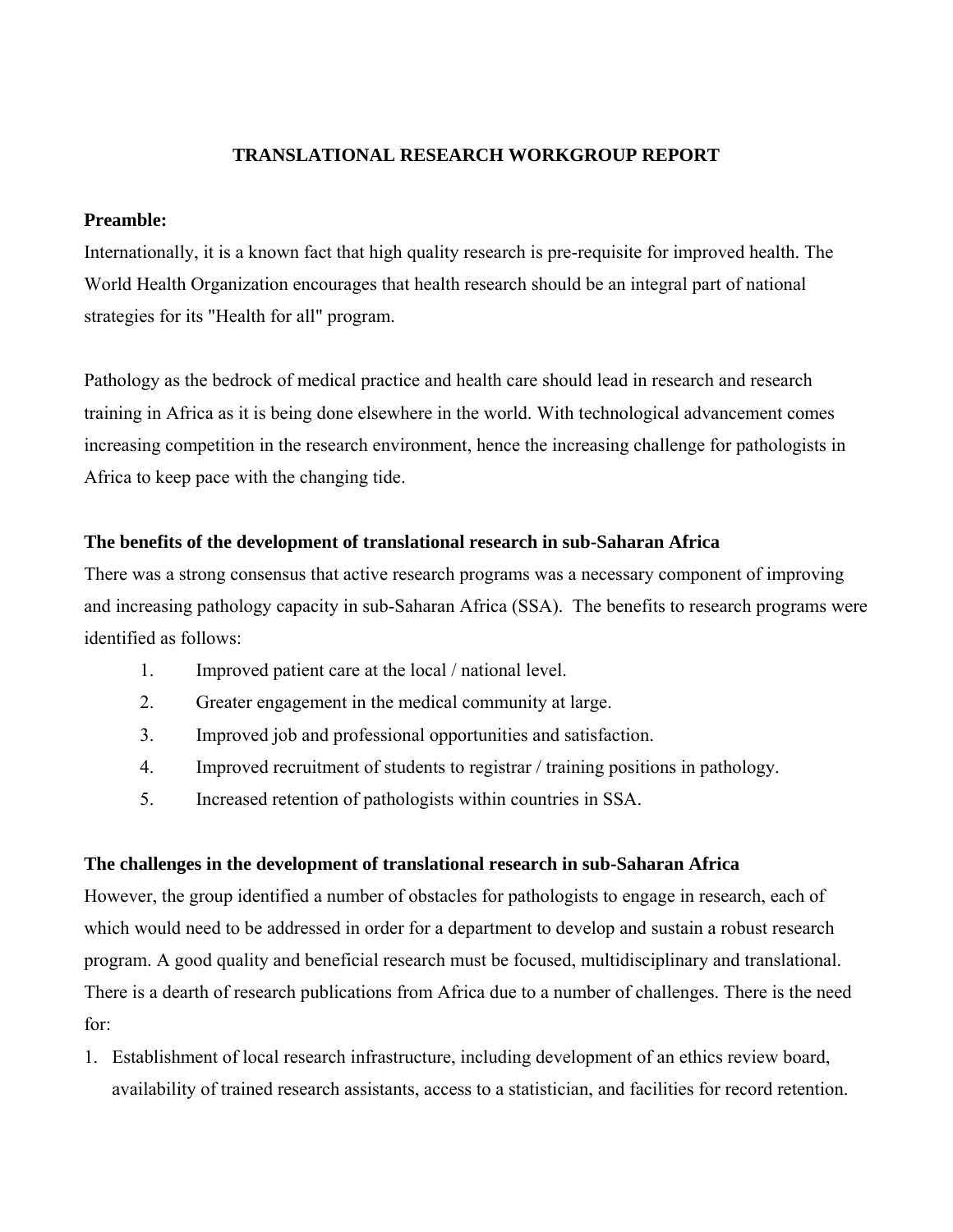### **TRANSLATIONAL RESEARCH WORKGROUP REPORT**

#### **Preamble:**

Internationally, it is a known fact that high quality research is pre-requisite for improved health. The World Health Organization encourages that health research should be an integral part of national strategies for its "Health for all" program.

Pathology as the bedrock of medical practice and health care should lead in research and research training in Africa as it is being done elsewhere in the world. With technological advancement comes increasing competition in the research environment, hence the increasing challenge for pathologists in Africa to keep pace with the changing tide.

#### **The benefits of the development of translational research in sub-Saharan Africa**

There was a strong consensus that active research programs was a necessary component of improving and increasing pathology capacity in sub-Saharan Africa (SSA). The benefits to research programs were identified as follows:

- 1. Improved patient care at the local / national level.
- 2. Greater engagement in the medical community at large.
- 3. Improved job and professional opportunities and satisfaction.
- 4. Improved recruitment of students to registrar / training positions in pathology.
- 5. Increased retention of pathologists within countries in SSA.

### **The challenges in the development of translational research in sub-Saharan Africa**

However, the group identified a number of obstacles for pathologists to engage in research, each of which would need to be addressed in order for a department to develop and sustain a robust research program. A good quality and beneficial research must be focused, multidisciplinary and translational. There is a dearth of research publications from Africa due to a number of challenges. There is the need for:

1. Establishment of local research infrastructure, including development of an ethics review board, availability of trained research assistants, access to a statistician, and facilities for record retention.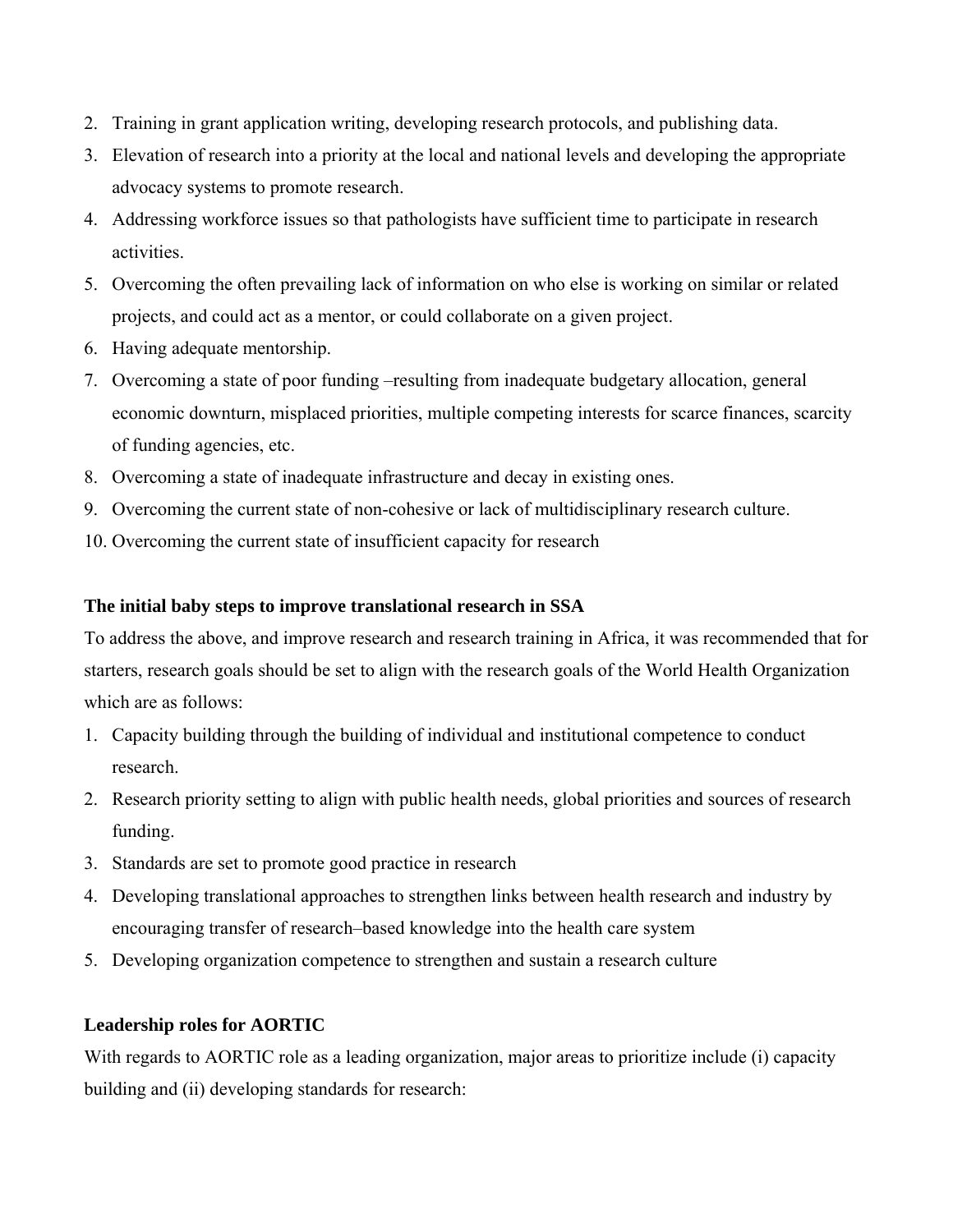- 2. Training in grant application writing, developing research protocols, and publishing data.
- 3. Elevation of research into a priority at the local and national levels and developing the appropriate advocacy systems to promote research.
- 4. Addressing workforce issues so that pathologists have sufficient time to participate in research activities.
- 5. Overcoming the often prevailing lack of information on who else is working on similar or related projects, and could act as a mentor, or could collaborate on a given project.
- 6. Having adequate mentorship.
- 7. Overcoming a state of poor funding –resulting from inadequate budgetary allocation, general economic downturn, misplaced priorities, multiple competing interests for scarce finances, scarcity of funding agencies, etc.
- 8. Overcoming a state of inadequate infrastructure and decay in existing ones.
- 9. Overcoming the current state of non-cohesive or lack of multidisciplinary research culture.
- 10. Overcoming the current state of insufficient capacity for research

### **The initial baby steps to improve translational research in SSA**

To address the above, and improve research and research training in Africa, it was recommended that for starters, research goals should be set to align with the research goals of the World Health Organization which are as follows:

- 1. Capacity building through the building of individual and institutional competence to conduct research.
- 2. Research priority setting to align with public health needs, global priorities and sources of research funding.
- 3. Standards are set to promote good practice in research
- 4. Developing translational approaches to strengthen links between health research and industry by encouraging transfer of research–based knowledge into the health care system
- 5. Developing organization competence to strengthen and sustain a research culture

## **Leadership roles for AORTIC**

With regards to AORTIC role as a leading organization, major areas to prioritize include (i) capacity building and (ii) developing standards for research: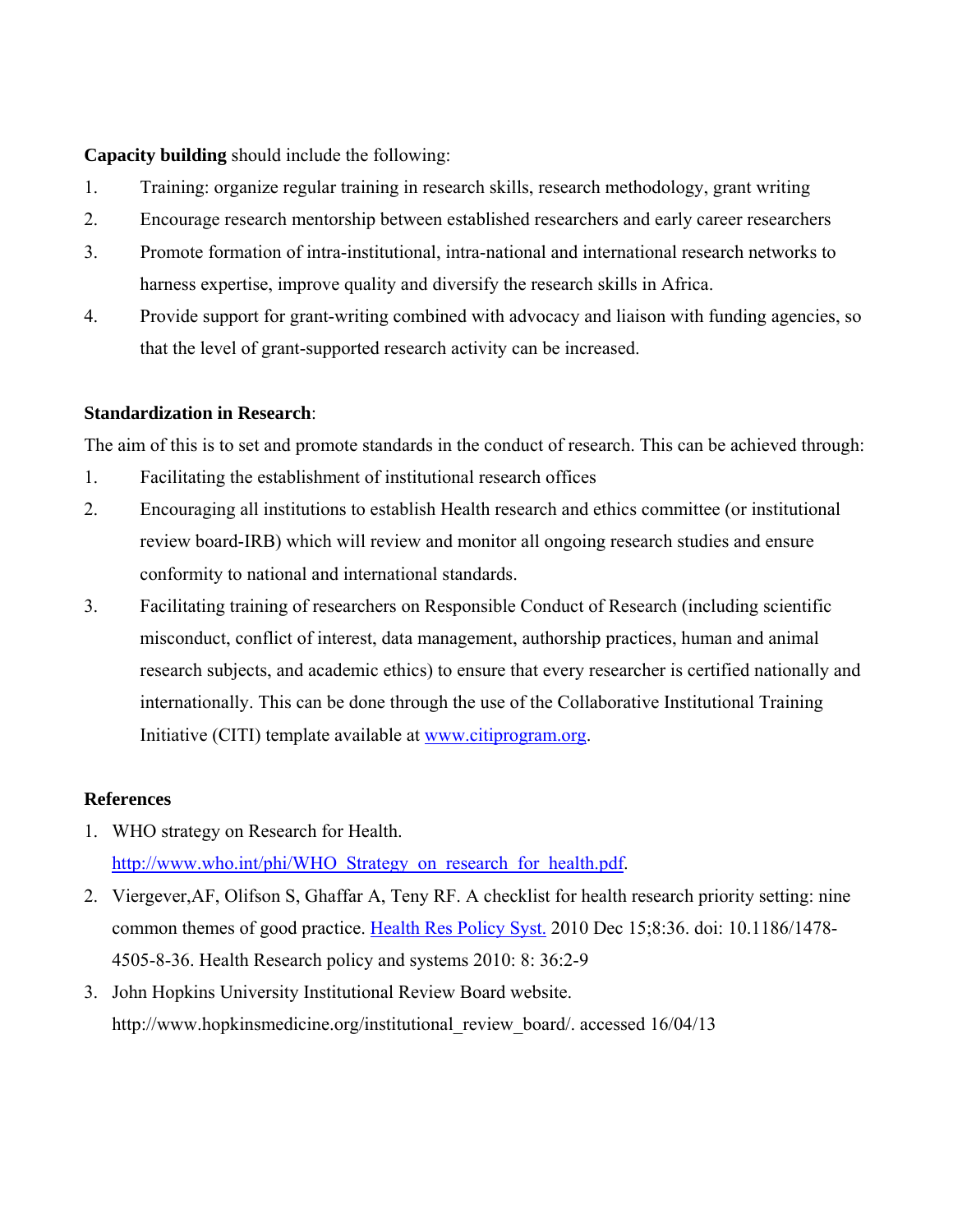**Capacity building** should include the following:

- 1. Training: organize regular training in research skills, research methodology, grant writing
- 2. Encourage research mentorship between established researchers and early career researchers
- 3. Promote formation of intra-institutional, intra-national and international research networks to harness expertise, improve quality and diversify the research skills in Africa.
- 4. Provide support for grant-writing combined with advocacy and liaison with funding agencies, so that the level of grant-supported research activity can be increased.

#### **Standardization in Research**:

The aim of this is to set and promote standards in the conduct of research. This can be achieved through:

- 1. Facilitating the establishment of institutional research offices
- 2. Encouraging all institutions to establish Health research and ethics committee (or institutional review board-IRB) which will review and monitor all ongoing research studies and ensure conformity to national and international standards.
- 3. Facilitating training of researchers on Responsible Conduct of Research (including scientific misconduct, conflict of interest, data management, authorship practices, human and animal research subjects, and academic ethics) to ensure that every researcher is certified nationally and internationally. This can be done through the use of the Collaborative Institutional Training Initiative (CITI) template available at [www.citiprogram.org.](http://www.citiprogram.org/)

#### **References**

- 1. WHO strategy on Research for Health. [http://www.who.int/phi/WHO\\_Strategy\\_on\\_research\\_for\\_health.pdf.](http://www.who.int/phi/WHO_Strategy_on_research_for_health.pdf)
- 2. Viergever,AF, Olifson S, Ghaffar A, Teny RF. A checklist for health research priority setting: nine common themes of good practice. [Health Res Policy Syst.](http://www.ncbi.nlm.nih.gov/pubmed/?term=Viergever%2CAF%2C+Olifson+S%2C+Ghaffar+A%2C+Teny+RF.+Health+Research+policy+and+systems+2010) 2010 Dec 15;8:36. doi: 10.1186/1478- 4505-8-36. Health Research policy and systems 2010: 8: 36:2-9
- 3. John Hopkins University Institutional Review Board website. http://www.hopkinsmedicine.org/institutional\_review\_board/. accessed 16/04/13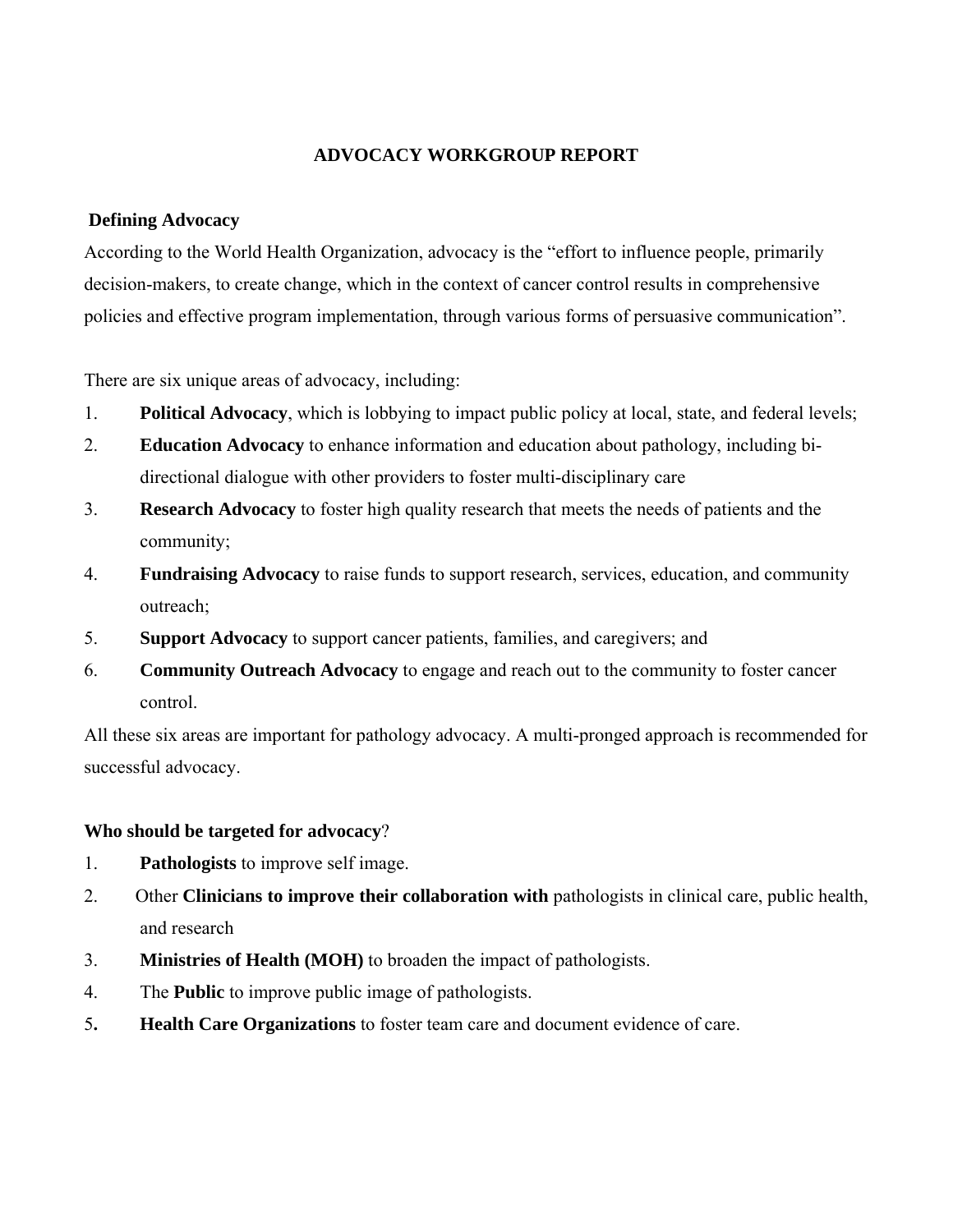### **ADVOCACY WORKGROUP REPORT**

#### **Defining Advocacy**

According to the World Health Organization, advocacy is the "effort to influence people, primarily decision-makers, to create change, which in the context of cancer control results in comprehensive policies and effective program implementation, through various forms of persuasive communication".

There are six unique areas of advocacy, including:

- 1. **Political Advocacy**, which is lobbying to impact public policy at local, state, and federal levels;
- 2. **Education Advocacy** to enhance information and education about pathology, including bidirectional dialogue with other providers to foster multi-disciplinary care
- 3. **Research Advocacy** to foster high quality research that meets the needs of patients and the community;
- 4. **Fundraising Advocacy** to raise funds to support research, services, education, and community outreach;
- 5. **Support Advocacy** to support cancer patients, families, and caregivers; and
- 6. **Community Outreach Advocacy** to engage and reach out to the community to foster cancer control.

All these six areas are important for pathology advocacy. A multi-pronged approach is recommended for successful advocacy.

#### **Who should be targeted for advocacy**?

- 1. **Pathologists** to improve self image.
- 2. Other **Clinicians to improve their collaboration with** pathologists in clinical care, public health, and research
- 3. **Ministries of Health (MOH)** to broaden the impact of pathologists.
- 4. The **Public** to improve public image of pathologists.
- 5**. Health Care Organizations** to foster team care and document evidence of care.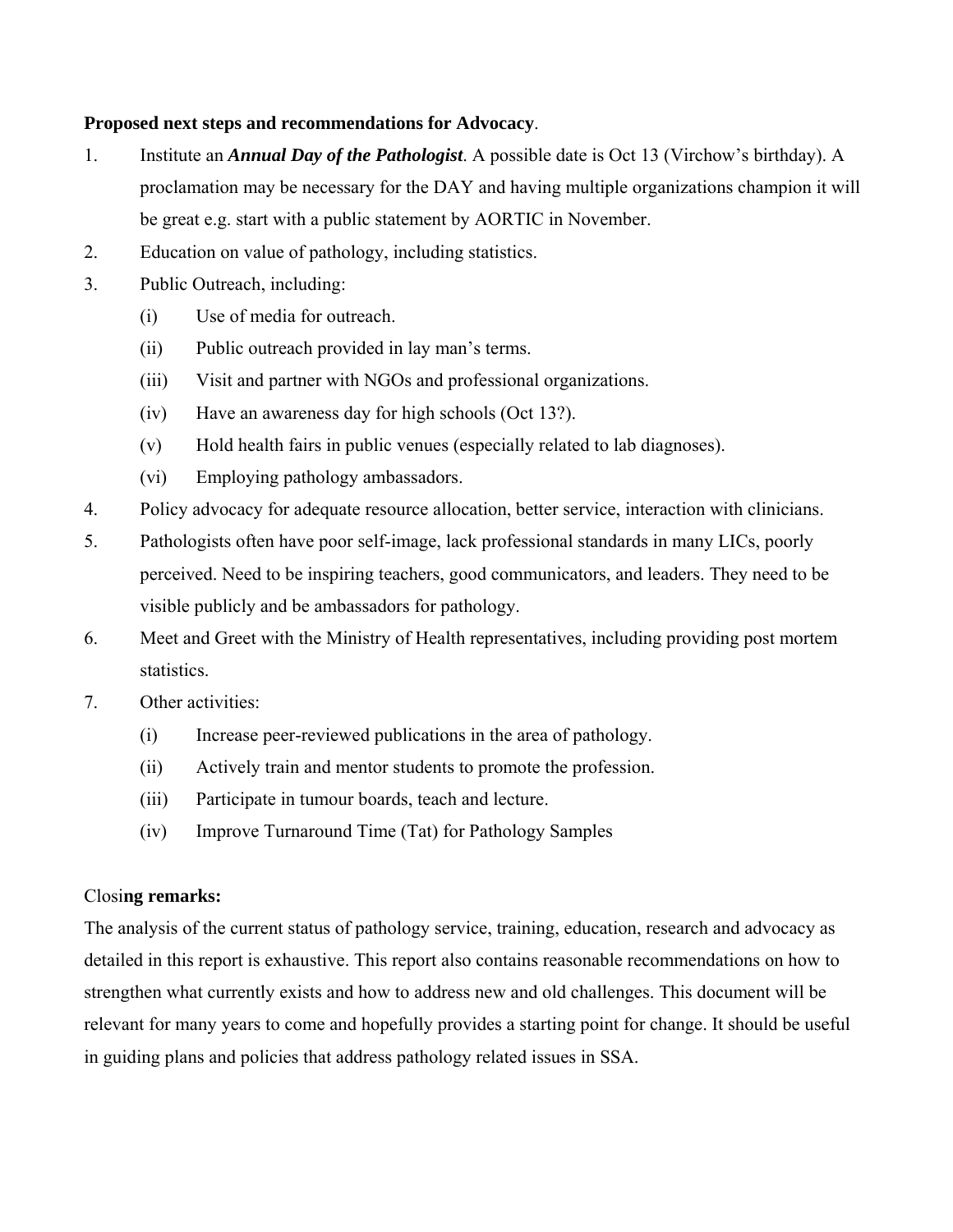#### **Proposed next steps and recommendations for Advocacy**.

- 1. Institute an *Annual Day of the Pathologist*. A possible date is Oct 13 (Virchow's birthday). A proclamation may be necessary for the DAY and having multiple organizations champion it will be great e.g. start with a public statement by AORTIC in November.
- 2. Education on value of pathology, including statistics.
- 3. Public Outreach, including:
	- (i) Use of media for outreach.
	- (ii) Public outreach provided in lay man's terms.
	- (iii) Visit and partner with NGOs and professional organizations.
	- (iv) Have an awareness day for high schools (Oct 13?).
	- (v) Hold health fairs in public venues (especially related to lab diagnoses).
	- (vi) Employing pathology ambassadors.
- 4. Policy advocacy for adequate resource allocation, better service, interaction with clinicians.
- 5. Pathologists often have poor self-image, lack professional standards in many LICs, poorly perceived. Need to be inspiring teachers, good communicators, and leaders. They need to be visible publicly and be ambassadors for pathology.
- 6. Meet and Greet with the Ministry of Health representatives, including providing post mortem statistics.
- 7. Other activities:
	- (i) Increase peer-reviewed publications in the area of pathology.
	- (ii) Actively train and mentor students to promote the profession.
	- (iii) Participate in tumour boards, teach and lecture.
	- (iv) Improve Turnaround Time (Tat) for Pathology Samples

### Closi**ng remarks:**

The analysis of the current status of pathology service, training, education, research and advocacy as detailed in this report is exhaustive. This report also contains reasonable recommendations on how to strengthen what currently exists and how to address new and old challenges. This document will be relevant for many years to come and hopefully provides a starting point for change. It should be useful in guiding plans and policies that address pathology related issues in SSA.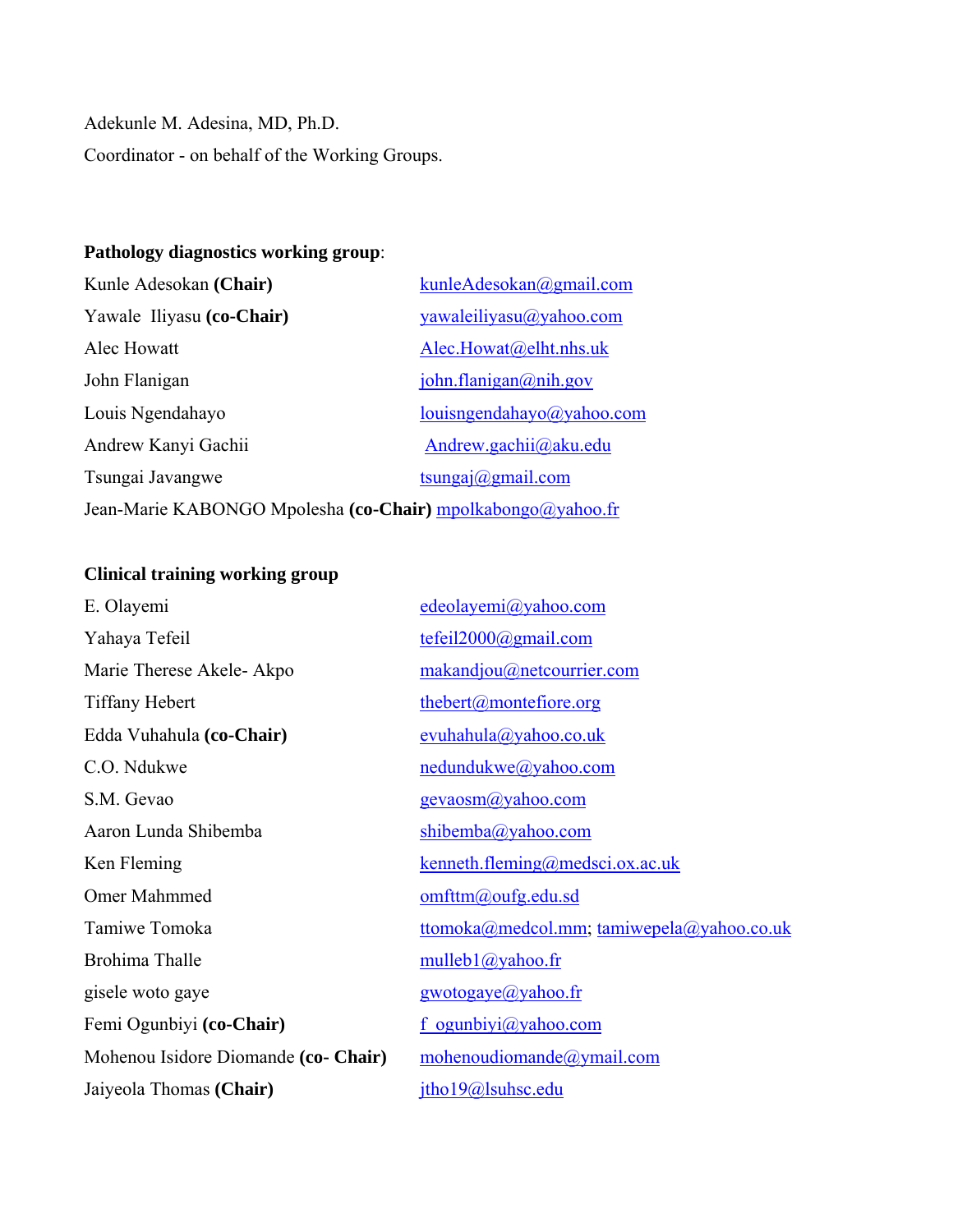Adekunle M. Adesina, MD, Ph.D. Coordinator - on behalf of the Working Groups.

## **Pathology diagnostics working group**:

| Kunle Adesokan (Chair)                                      | kunleAdesokan@gmail.com   |  |
|-------------------------------------------------------------|---------------------------|--|
| Yawale Iliyasu (co-Chair)                                   | yawaleiliyasu@yahoo.com   |  |
| Alec Howatt                                                 | Alec.Howat@elht.nhs.uk    |  |
| John Flanigan                                               | john.flanigan@nih.gov     |  |
| Louis Ngendahayo                                            | louisngendahayo@yahoo.com |  |
| Andrew Kanyi Gachii                                         | Andrew.gachii@aku.edu     |  |
| Tsungai Javangwe                                            | tsungaj@gmail.com         |  |
| Jean-Marie KABONGO Mpolesha (co-Chair) mpolkabongo@yahoo.fr |                           |  |

## **Clinical training working group**

| edeolayemi@yahoo.com                      |
|-------------------------------------------|
| tefei12000@gmail.com                      |
| makandjou@netcourrier.com                 |
| thebert@montefiore.org                    |
| evuhahula@yahoo.co.uk                     |
| nedundukwe@yahoo.com                      |
| gevaosm@yahoo.com                         |
| shibemba@yahoo.com                        |
| $k$ enneth.fleming@medsci.ox.ac.uk        |
| omfttm@oufg.edu.sd                        |
| ttomoka@medcol.mm; tamiwepela@yahoo.co.uk |
| mulleb $1$ ( $a$ ) yahoo.fr               |
| gwotogaye@yahoo.fr                        |
| f ogunbiyi@yahoo.com                      |
| mohenoudiomande@ymail.com                 |
| jtho19@lsuhsc.edu                         |
|                                           |